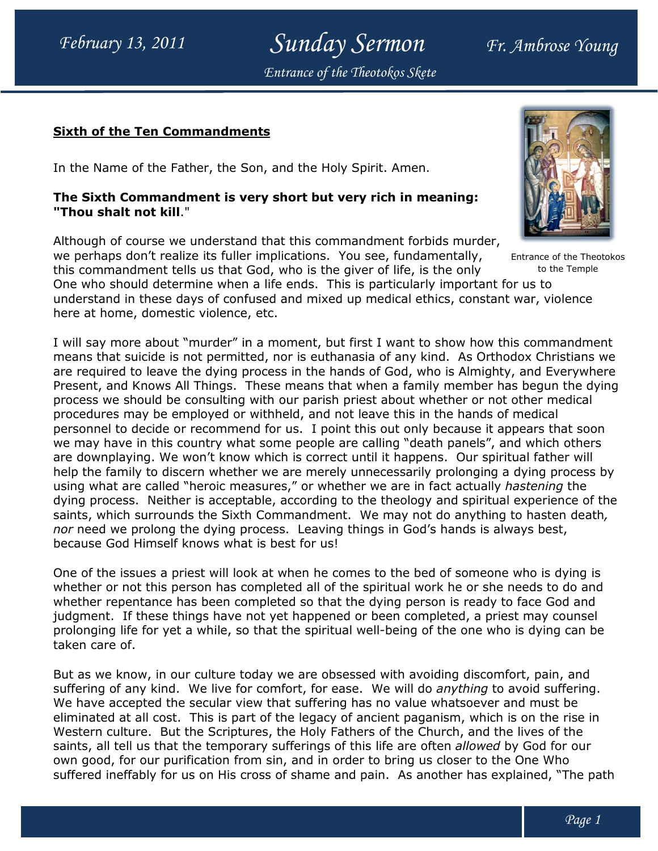Sunday Sermon Fr. Ambrose Young Entrance of the Theotokos Skete

## <u>Sixth of the Ten Commandments</u>

In the Name of the Father, the Son, and the Holy Spirit. Amen.

## The Sixth Commandment is very short but very rich in meaning: "Thou shalt not kill."

Although of course we understand that this commandment forbids murder, we perhaps don't realize its fuller implications. You see, fundamentally, this commandment tells us that God, who is the giver of life, is the only this commandment tells us that God, who is the giver of life, is the only who should determine when a life ends. This is particularly important for us to One who should determine when a life ends. This is particularly important for us to<br>understand in these days of confused and mixed up medical ethics, constant war, violence here at home, domestic violence, etc. e of the Father, the Son, and the Holy Spirit. Amen.<br>Commandment is very short but very rich in meaning:<br>t not kill."<br>course we understand that this commandment forbids murde<br>don't realize its fuller implications. You see,

I will say more about "murder" in a moment, but first I want to show how this commandment I will say more about "murder" in a moment, but first I want to show how this commandment<br>means that suicide is not permitted, nor is euthanasia of any kind. As Orthodox Christians we are required to leave the dying process in the hands of God, who is Almighty, and Everywhere Present, and Knows All Things. These means that when a family member has begun the dying process we should be consulting with our parish priest about whether or not other medical procedures may be employed or withheld, and not leave this in the hands of medical personnel to decide or recommend for us. I point this out only because it appears that soon we may have in this country what some people are calling "death panels", and which others are downplaying. We won't know which is correct until it happens. Our spiritual father will help the family to discern whether we are merely unnecessarily prolonging a dying process by personnel to decide or recommend for us. I point this out only because it appears that soon<br>we may have in this country what some people are calling "death panels", and which others<br>are downplaying. We won't know which is dying process. Neither is acceptable, according to the theology and spiritual experience of the saints, which surrounds the Sixth Commandment. We may not do anything to hasten death, nor need we prolong the dying process. Leaving things in God's hands is always best, because God Himself knows what is best for us! e required to leave the dying process in the hands of God, who is Almighty, and Even esent, and Knows All Things. These means that when a family member has begun ocess we should be consulting with our parish priest about w annentally, Entrance of the Theotokos<br>
is the only to the Temple<br>
is the only to the Temple<br>
ethics, constant war, violence<br>
to show how this commandment<br>
kind. As Orthodox Christians we<br>
who is Almighty, and Everywhere<br>
w

One of the issues a priest will look at when he comes to the bed of someone who is dying is because God Himself knows what is best for us!<br>One of the issues a priest will look at when he comes to the bed of someone who is dying is<br>whether or not this person has completed all of the spiritual work he or she needs whether repentance has been completed so that the dying person is ready to face God and judgment. If these things have not yet happened or been completed, a priest may counsel whether repentance has been completed so that the dying person is ready to face God and<br>judgment. If these things have not yet happened or been completed, a priest may counsel<br>prolonging life for yet a while, so that the s taken care of.

But as we know, in our culture today we are obsessed with avoiding discomfort, pain, and But as we know, in our culture today we are obsessed with avoiding discomfort, pain, and<br>suffering of any kind. We live for comfort, for ease. We will do *anything* to avoid suffering. We have accepted the secular view that suffering has no value whatsoever and must be eliminated at all cost. This is part of the legacy of ancient paganism, which is on the rise in Western culture. But the Scriptures, the Holy Fathers of the Church, and t saints, all tell us that the temporary sufferings of this life are often *allowed* by God for our own good, for our purification from sin, and in order to bring us closer to the One Who own good, for our purification from sin, and in order to bring us closer to the One Who<br>suffered ineffably for us on His cross of shame and pain. As another has explained, "The path e have accepted the secular view that suffering has no value whatsoever and must be<br>iminated at all cost. This is part of the legacy of ancient paganism, which is on the rise<br>estern culture. But the Scriptures, the Holy Fa



to the Temple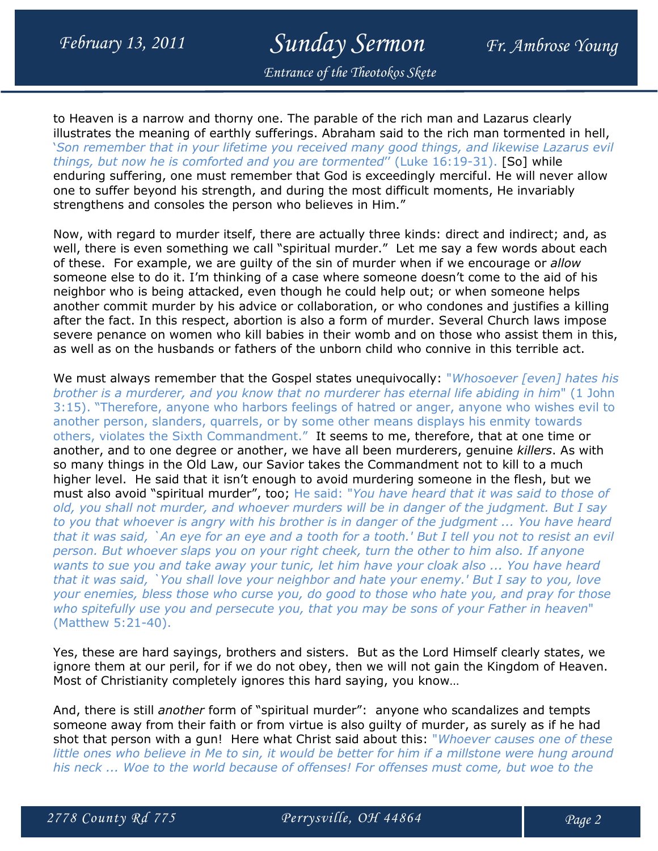## February 13, 2011 Sunday Sermon Fr. Ambrose Young

Entrance of the Theotokos Skete

to Heaven is a narrow and thorny one. The parable of the rich man and Lazarus clearly illustrates the meaning of earthly sufferings. Abraham said to the rich man tormented in hell, 'Son remember that in your lifetime you received many good things, and likewise Lazarus evil things, but now he is comforted and you are tormented'' (Luke 16:19-31). [So] while enduring suffering, one must remember that God is exceedingly merciful. He will never allow one to suffer beyond his strength, and during the most difficult moments, He invariably strengthens and consoles the person who believes in Him."

Now, with regard to murder itself, there are actually three kinds: direct and indirect; and, as well, there is even something we call "spiritual murder." Let me say a few words about each of these. For example, we are quilty of the sin of murder when if we encourage or *allow* someone else to do it. I'm thinking of a case where someone doesn't come to the aid of his neighbor who is being attacked, even though he could help out; or when someone helps another commit murder by his advice or collaboration, or who condones and justifies a killing after the fact. In this respect, abortion is also a form of murder. Several Church laws impose severe penance on women who kill babies in their womb and on those who assist them in this, as well as on the husbands or fathers of the unborn child who connive in this terrible act.

We must always remember that the Gospel states unequivocally: "Whosoever [even] hates his brother is a murderer, and you know that no murderer has eternal life abiding in him" (1 John 3:15). "Therefore, anyone who harbors feelings of hatred or anger, anyone who wishes evil to another person, slanders, quarrels, or by some other means displays his enmity towards others, violates the Sixth Commandment." It seems to me, therefore, that at one time or another, and to one degree or another, we have all been murderers, genuine killers. As with so many things in the Old Law, our Savior takes the Commandment not to kill to a much higher level. He said that it isn't enough to avoid murdering someone in the flesh, but we must also avoid "spiritual murder", too; He said: "You have heard that it was said to those of old, you shall not murder, and whoever murders will be in danger of the judgment. But I say to you that whoever is angry with his brother is in danger of the judgment ... You have heard that it was said, `An eye for an eye and a tooth for a tooth.' But I tell you not to resist an evil person. But whoever slaps you on your right cheek, turn the other to him also. If anyone wants to sue you and take away your tunic, let him have your cloak also ... You have heard that it was said, `You shall love your neighbor and hate your enemy.' But I say to you, love your enemies, bless those who curse you, do good to those who hate you, and pray for those who spitefully use you and persecute you, that you may be sons of your Father in heaven" (Matthew 5:21-40).

Yes, these are hard sayings, brothers and sisters. But as the Lord Himself clearly states, we ignore them at our peril, for if we do not obey, then we will not gain the Kingdom of Heaven. Most of Christianity completely ignores this hard saying, you know…

And, there is still another form of "spiritual murder": anyone who scandalizes and tempts someone away from their faith or from virtue is also guilty of murder, as surely as if he had shot that person with a gun! Here what Christ said about this: "Whoever causes one of these little ones who believe in Me to sin, it would be better for him if a millstone were hung around his neck ... Woe to the world because of offenses! For offenses must come, but woe to the